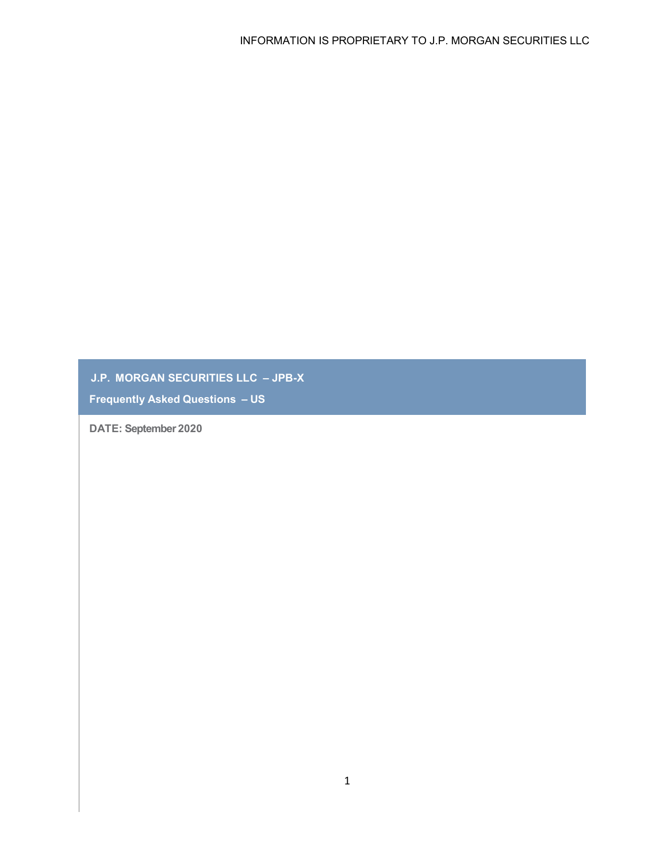**J.P. MORGAN SECURITIES LLC – JPB-X**

**Frequently Asked Questions – US**

**DATE: September 2020**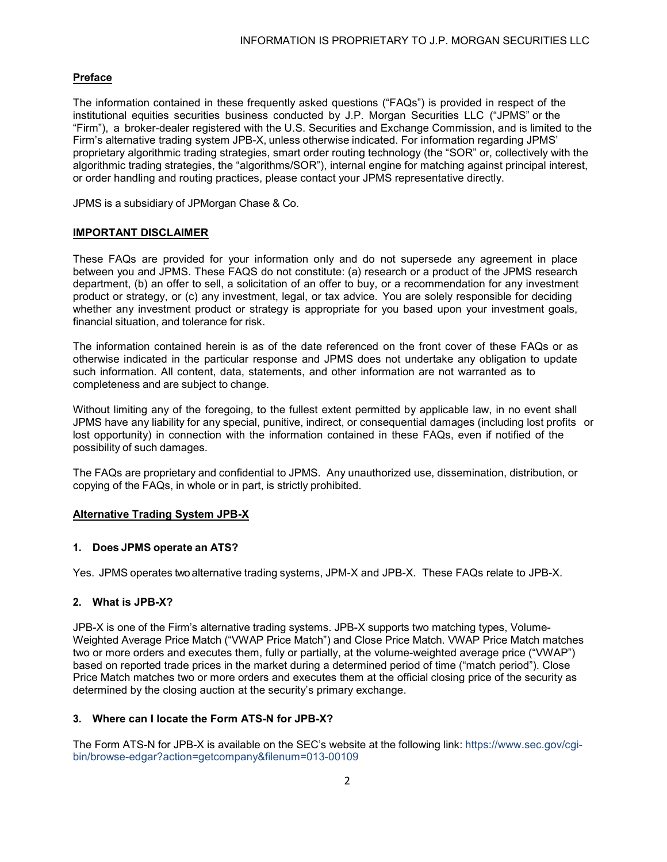# **Preface**

The information contained in these frequently asked questions ("FAQs") is provided in respect of the institutional equities securities business conducted by J.P. Morgan Securities LLC ("JPMS" or the "Firm"), a broker-dealer registered with the U.S. Securities and Exchange Commission, and is limited to the Firm's alternative trading system JPB-X, unless otherwise indicated. For information regarding JPMS' proprietary algorithmic trading strategies, smart order routing technology (the "SOR" or, collectively with the algorithmic trading strategies, the "algorithms/SOR"), internal engine for matching against principal interest, or order handling and routing practices, please contact your JPMS representative directly.

JPMS is a subsidiary of JPMorgan Chase & Co.

## **IMPORTANT DISCLAIMER**

These FAQs are provided for your information only and do not supersede any agreement in place between you and JPMS. These FAQS do not constitute: (a) research or a product of the JPMS research department, (b) an offer to sell, a solicitation of an offer to buy, or a recommendation for any investment product or strategy, or (c) any investment, legal, or tax advice. You are solely responsible for deciding whether any investment product or strategy is appropriate for you based upon your investment goals, financial situation, and tolerance for risk.

The information contained herein is as of the date referenced on the front cover of these FAQs or as otherwise indicated in the particular response and JPMS does not undertake any obligation to update such information. All content, data, statements, and other information are not warranted as to completeness and are subject to change.

Without limiting any of the foregoing, to the fullest extent permitted by applicable law, in no event shall JPMS have any liability for any special, punitive, indirect, or consequential damages (including lost profits or lost opportunity) in connection with the information contained in these FAQs, even if notified of the possibility of such damages.

The FAQs are proprietary and confidential to JPMS. Any unauthorized use, dissemination, distribution, or copying of the FAQs, in whole or in part, is strictly prohibited.

## **Alternative Trading System JPB-X**

## **1. Does JPMS operate an ATS?**

Yes. JPMS operates two alternative trading systems, JPM-X and JPB-X. These FAQs relate to JPB-X.

## **2. What is JPB-X?**

JPB-X is one of the Firm's alternative trading systems. JPB-X supports two matching types, Volume-Weighted Average Price Match ("VWAP Price Match") and Close Price Match. VWAP Price Match matches two or more orders and executes them, fully or partially, at the volume-weighted average price ("VWAP") based on reported trade prices in the market during a determined period of time ("match period"). Close Price Match matches two or more orders and executes them at the official closing price of the security as determined by the closing auction at the security's primary exchange.

## **3. Where can I locate the Form ATS-N for JPB-X?**

The Form ATS-N for JPB-X is available on the SEC's website at the following link: https://www.sec.gov/cgibin/browse-edgar?action=getcompany&filenum=013-00109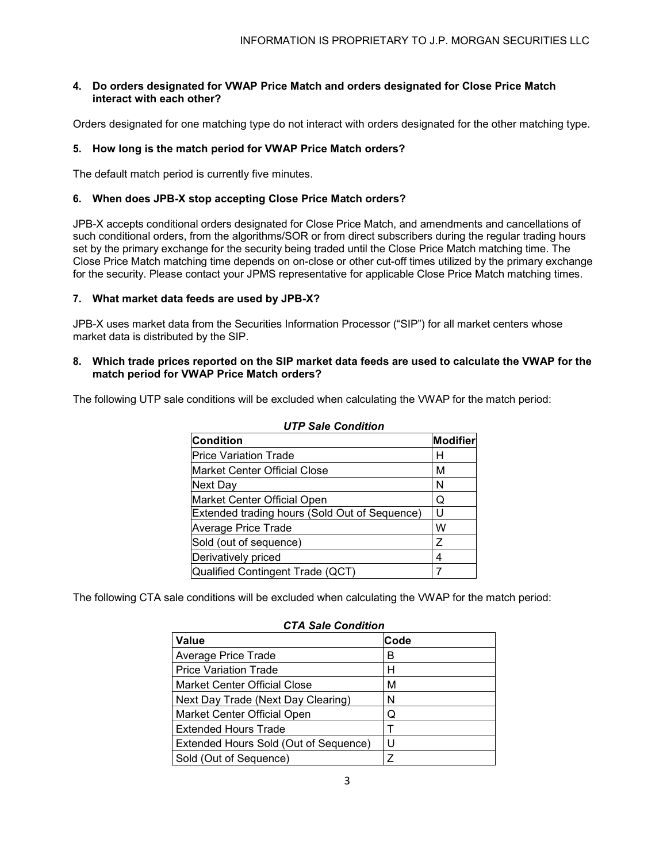## **4. Do orders designated for VWAP Price Match and orders designated for Close Price Match interact with each other?**

Orders designated for one matching type do not interact with orders designated for the other matching type.

## **5. How long is the match period for VWAP Price Match orders?**

The default match period is currently five minutes.

## **6. When does JPB-X stop accepting Close Price Match orders?**

JPB-X accepts conditional orders designated for Close Price Match, and amendments and cancellations of such conditional orders, from the algorithms/SOR or from direct subscribers during the regular trading hours set by the primary exchange for the security being traded until the Close Price Match matching time. The Close Price Match matching time depends on on-close or other cut-off times utilized by the primary exchange for the security. Please contact your JPMS representative for applicable Close Price Match matching times.

## **7. What market data feeds are used by JPB-X?**

JPB-X uses market data from the Securities Information Processor ("SIP") for all market centers whose market data is distributed by the SIP.

## **8. Which trade prices reported on the SIP market data feeds are used to calculate the VWAP for the match period for VWAP Price Match orders?**

The following UTP sale conditions will be excluded when calculating the VWAP for the match period:

| <b>Condition</b>                              | <b>Modifier</b> |  |
|-----------------------------------------------|-----------------|--|
| <b>Price Variation Trade</b>                  | н               |  |
| <b>Market Center Official Close</b>           | M               |  |
| Next Day                                      | N               |  |
| Market Center Official Open                   | Q               |  |
| Extended trading hours (Sold Out of Sequence) | U               |  |
| <b>Average Price Trade</b>                    | W               |  |
| Sold (out of sequence)                        | Ζ               |  |
| Derivatively priced                           | 4               |  |
| Qualified Contingent Trade (QCT)              |                 |  |

# *UTP Sale Condition*

The following CTA sale conditions will be excluded when calculating the VWAP for the match period:

| <u>UTA JAJE UUNUILIUN</u>             |             |  |
|---------------------------------------|-------------|--|
| <b>Value</b>                          | <b>Code</b> |  |
| <b>Average Price Trade</b>            | В           |  |
| <b>Price Variation Trade</b>          | н           |  |
| Market Center Official Close          | м           |  |
| Next Day Trade (Next Day Clearing)    | N           |  |
| Market Center Official Open           | Q           |  |
| <b>Extended Hours Trade</b>           | т           |  |
| Extended Hours Sold (Out of Sequence) | U           |  |
| Sold (Out of Sequence)                | Z           |  |

# *CTA Sale Condition*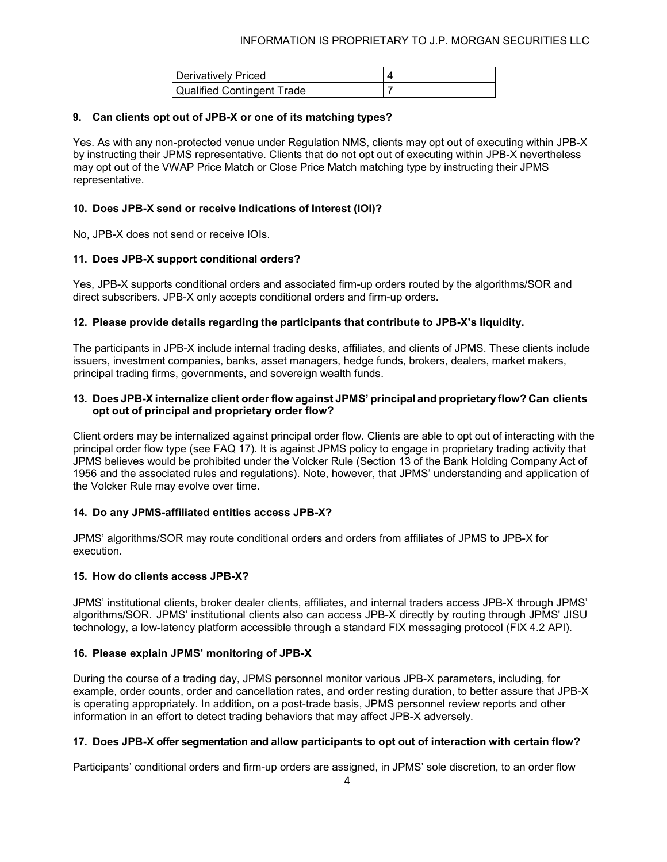| Derivatively Priced               |  |
|-----------------------------------|--|
| <b>Qualified Contingent Trade</b> |  |

## **9. Can clients opt out of JPB-X or one of its matching types?**

Yes. As with any non-protected venue under Regulation NMS, clients may opt out of executing within JPB-X by instructing their JPMS representative. Clients that do not opt out of executing within JPB-X nevertheless may opt out of the VWAP Price Match or Close Price Match matching type by instructing their JPMS representative.

## **10. Does JPB-X send or receive Indications of Interest (IOI)?**

No, JPB-X does not send or receive IOIs.

## **11. Does JPB-X support conditional orders?**

Yes, JPB-X supports conditional orders and associated firm-up orders routed by the algorithms/SOR and direct subscribers. JPB-X only accepts conditional orders and firm-up orders.

## **12. Please provide details regarding the participants that contribute to JPB-X's liquidity.**

The participants in JPB-X include internal trading desks, affiliates, and clients of JPMS. These clients include issuers, investment companies, banks, asset managers, hedge funds, brokers, dealers, market makers, principal trading firms, governments, and sovereign wealth funds.

## **13. Does JPB-X internalize client orderflow against JPMS' principal and proprietary flow? Can clients opt out of principal and proprietary order flow?**

Client orders may be internalized against principal order flow. Clients are able to opt out of interacting with the principal order flow type (see FAQ 17). It is against JPMS policy to engage in proprietary trading activity that JPMS believes would be prohibited under the Volcker Rule (Section 13 of the Bank Holding Company Act of 1956 and the associated rules and regulations). Note, however, that JPMS' understanding and application of the Volcker Rule may evolve over time.

## **14. Do any JPMS-affiliated entities access JPB-X?**

JPMS' algorithms/SOR may route conditional orders and orders from affiliates of JPMS to JPB-X for execution.

## **15. How do clients access JPB-X?**

JPMS' institutional clients, broker dealer clients, affiliates, and internal traders access JPB-X through JPMS' algorithms/SOR. JPMS' institutional clients also can access JPB-X directly by routing through JPMS' JISU technology, a low-latency platform accessible through a standard FIX messaging protocol (FIX 4.2 API).

# **16. Please explain JPMS' monitoring of JPB-X**

During the course of a trading day, JPMS personnel monitor various JPB-X parameters, including, for example, order counts, order and cancellation rates, and order resting duration, to better assure that JPB-X is operating appropriately. In addition, on a post-trade basis, JPMS personnel review reports and other information in an effort to detect trading behaviors that may affect JPB-X adversely.

## **17. Does JPB-X offer segmentation and allow participants to opt out of interaction with certain flow?**

Participants' conditional orders and firm-up orders are assigned, in JPMS' sole discretion, to an order flow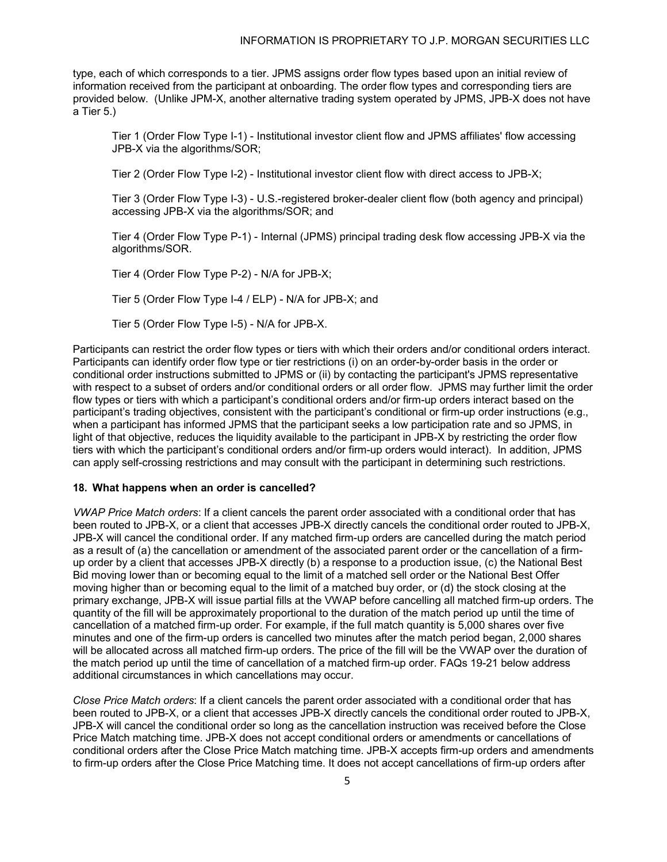type, each of which corresponds to a tier. JPMS assigns order flow types based upon an initial review of information received from the participant at onboarding. The order flow types and corresponding tiers are provided below. (Unlike JPM-X, another alternative trading system operated by JPMS, JPB-X does not have a Tier 5.)

Tier 1 (Order Flow Type I-1) - Institutional investor client flow and JPMS affiliates' flow accessing JPB-X via the algorithms/SOR;

Tier 2 (Order Flow Type I-2) - Institutional investor client flow with direct access to JPB-X;

Tier 3 (Order Flow Type I-3) - U.S.-registered broker-dealer client flow (both agency and principal) accessing JPB-X via the algorithms/SOR; and

Tier 4 (Order Flow Type P-1) - Internal (JPMS) principal trading desk flow accessing JPB-X via the algorithms/SOR.

Tier 4 (Order Flow Type P-2) - N/A for JPB-X;

Tier 5 (Order Flow Type I-4 / ELP) - N/A for JPB-X; and

Tier 5 (Order Flow Type I-5) - N/A for JPB-X.

Participants can restrict the order flow types or tiers with which their orders and/or conditional orders interact. Participants can identify order flow type or tier restrictions (i) on an order-by-order basis in the order or conditional order instructions submitted to JPMS or (ii) by contacting the participant's JPMS representative with respect to a subset of orders and/or conditional orders or all order flow. JPMS may further limit the order flow types or tiers with which a participant's conditional orders and/or firm-up orders interact based on the participant's trading objectives, consistent with the participant's conditional or firm-up order instructions (e.g., when a participant has informed JPMS that the participant seeks a low participation rate and so JPMS, in light of that objective, reduces the liquidity available to the participant in JPB-X by restricting the order flow tiers with which the participant's conditional orders and/or firm-up orders would interact). In addition, JPMS can apply self-crossing restrictions and may consult with the participant in determining such restrictions.

#### **18. What happens when an order is cancelled?**

*VWAP Price Match orders*: If a client cancels the parent order associated with a conditional order that has been routed to JPB-X, or a client that accesses JPB-X directly cancels the conditional order routed to JPB-X, JPB-X will cancel the conditional order. If any matched firm-up orders are cancelled during the match period as a result of (a) the cancellation or amendment of the associated parent order or the cancellation of a firmup order by a client that accesses JPB-X directly (b) a response to a production issue, (c) the National Best Bid moving lower than or becoming equal to the limit of a matched sell order or the National Best Offer moving higher than or becoming equal to the limit of a matched buy order, or (d) the stock closing at the primary exchange, JPB-X will issue partial fills at the VWAP before cancelling all matched firm-up orders. The quantity of the fill will be approximately proportional to the duration of the match period up until the time of cancellation of a matched firm-up order. For example, if the full match quantity is 5,000 shares over five minutes and one of the firm-up orders is cancelled two minutes after the match period began, 2,000 shares will be allocated across all matched firm-up orders. The price of the fill will be the VWAP over the duration of the match period up until the time of cancellation of a matched firm-up order. FAQs 19-21 below address additional circumstances in which cancellations may occur.

*Close Price Match orders*: If a client cancels the parent order associated with a conditional order that has been routed to JPB-X, or a client that accesses JPB-X directly cancels the conditional order routed to JPB-X, JPB-X will cancel the conditional order so long as the cancellation instruction was received before the Close Price Match matching time. JPB-X does not accept conditional orders or amendments or cancellations of conditional orders after the Close Price Match matching time. JPB-X accepts firm-up orders and amendments to firm-up orders after the Close Price Matching time. It does not accept cancellations of firm-up orders after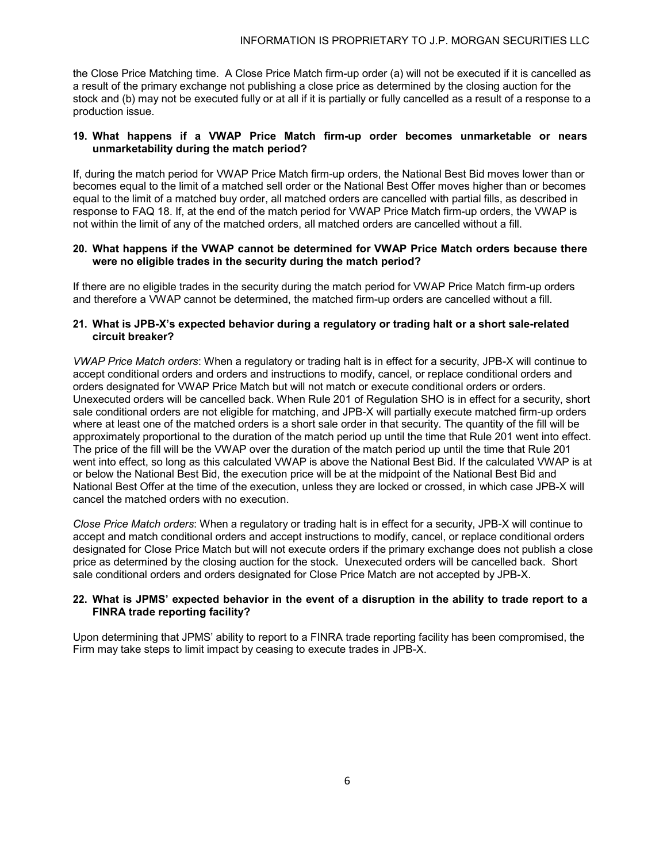the Close Price Matching time. A Close Price Match firm-up order (a) will not be executed if it is cancelled as a result of the primary exchange not publishing a close price as determined by the closing auction for the stock and (b) may not be executed fully or at all if it is partially or fully cancelled as a result of a response to a production issue.

## **19. What happens if a VWAP Price Match firm-up order becomes unmarketable or nears unmarketability during the match period?**

If, during the match period for VWAP Price Match firm-up orders, the National Best Bid moves lower than or becomes equal to the limit of a matched sell order or the National Best Offer moves higher than or becomes equal to the limit of a matched buy order, all matched orders are cancelled with partial fills, as described in response to FAQ 18. If, at the end of the match period for VWAP Price Match firm-up orders, the VWAP is not within the limit of any of the matched orders, all matched orders are cancelled without a fill.

## **20. What happens if the VWAP cannot be determined for VWAP Price Match orders because there were no eligible trades in the security during the match period?**

If there are no eligible trades in the security during the match period for VWAP Price Match firm-up orders and therefore a VWAP cannot be determined, the matched firm-up orders are cancelled without a fill.

## **21. What is JPB-X's expected behavior during a regulatory or trading halt or a short sale-related circuit breaker?**

*VWAP Price Match orders*: When a regulatory or trading halt is in effect for a security, JPB-X will continue to accept conditional orders and orders and instructions to modify, cancel, or replace conditional orders and orders designated for VWAP Price Match but will not match or execute conditional orders or orders. Unexecuted orders will be cancelled back. When Rule 201 of Regulation SHO is in effect for a security, short sale conditional orders are not eligible for matching, and JPB-X will partially execute matched firm-up orders where at least one of the matched orders is a short sale order in that security. The quantity of the fill will be approximately proportional to the duration of the match period up until the time that Rule 201 went into effect. The price of the fill will be the VWAP over the duration of the match period up until the time that Rule 201 went into effect, so long as this calculated VWAP is above the National Best Bid. If the calculated VWAP is at or below the National Best Bid, the execution price will be at the midpoint of the National Best Bid and National Best Offer at the time of the execution, unless they are locked or crossed, in which case JPB-X will cancel the matched orders with no execution.

*Close Price Match orders*: When a regulatory or trading halt is in effect for a security, JPB-X will continue to accept and match conditional orders and accept instructions to modify, cancel, or replace conditional orders designated for Close Price Match but will not execute orders if the primary exchange does not publish a close price as determined by the closing auction for the stock. Unexecuted orders will be cancelled back. Short sale conditional orders and orders designated for Close Price Match are not accepted by JPB-X.

## **22. What is JPMS' expected behavior in the event of a disruption in the ability to trade report to a FINRA trade reporting facility?**

Upon determining that JPMS' ability to report to a FINRA trade reporting facility has been compromised, the Firm may take steps to limit impact by ceasing to execute trades in JPB-X.